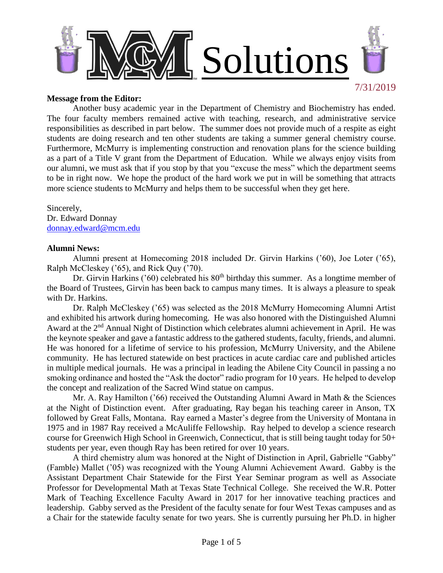

#### **Message from the Editor:**

Another busy academic year in the Department of Chemistry and Biochemistry has ended. The four faculty members remained active with teaching, research, and administrative service responsibilities as described in part below. The summer does not provide much of a respite as eight students are doing research and ten other students are taking a summer general chemistry course. Furthermore, McMurry is implementing construction and renovation plans for the science building as a part of a Title V grant from the Department of Education. While we always enjoy visits from our alumni, we must ask that if you stop by that you "excuse the mess" which the department seems to be in right now. We hope the product of the hard work we put in will be something that attracts more science students to McMurry and helps them to be successful when they get here.

Sincerely, Dr. Edward Donnay [donnay.edward@mcm.edu](mailto:donnay.edward@mcm.edu)

## **Alumni News:**

Alumni present at Homecoming 2018 included Dr. Girvin Harkins ('60), Joe Loter ('65), Ralph McCleskey ('65), and Rick Quy ('70).

Dr. Girvin Harkins ('60) celebrated his  $80<sup>th</sup>$  birthday this summer. As a longtime member of the Board of Trustees, Girvin has been back to campus many times. It is always a pleasure to speak with Dr. Harkins.

Dr. Ralph McCleskey ('65) was selected as the 2018 McMurry Homecoming Alumni Artist and exhibited his artwork during homecoming. He was also honored with the Distinguished Alumni Award at the  $2<sup>nd</sup>$  Annual Night of Distinction which celebrates alumni achievement in April. He was the keynote speaker and gave a fantastic address to the gathered students, faculty, friends, and alumni. He was honored for a lifetime of service to his profession, McMurry University, and the Abilene community. He has lectured statewide on best practices in acute cardiac care and published articles in multiple medical journals. He was a principal in leading the Abilene City Council in passing a no smoking ordinance and hosted the "Ask the doctor" radio program for 10 years. He helped to develop the concept and realization of the Sacred Wind statue on campus.

Mr. A. Ray Hamilton ('66) received the Outstanding Alumni Award in Math & the Sciences at the Night of Distinction event. After graduating, Ray began his teaching career in Anson, TX followed by Great Falls, Montana. Ray earned a Master's degree from the University of Montana in 1975 and in 1987 Ray received a McAuliffe Fellowship. Ray helped to develop a science research course for Greenwich High School in Greenwich, Connecticut, that is still being taught today for 50+ students per year, even though Ray has been retired for over 10 years.

A third chemistry alum was honored at the Night of Distinction in April, Gabrielle "Gabby" (Famble) Mallet ('05) was recognized with the Young Alumni Achievement Award. Gabby is the Assistant Department Chair Statewide for the First Year Seminar program as well as Associate Professor for Developmental Math at Texas State Technical College. She received the W.R. Potter Mark of Teaching Excellence Faculty Award in 2017 for her innovative teaching practices and leadership. Gabby served as the President of the faculty senate for four West Texas campuses and as a Chair for the statewide faculty senate for two years. She is currently pursuing her Ph.D. in higher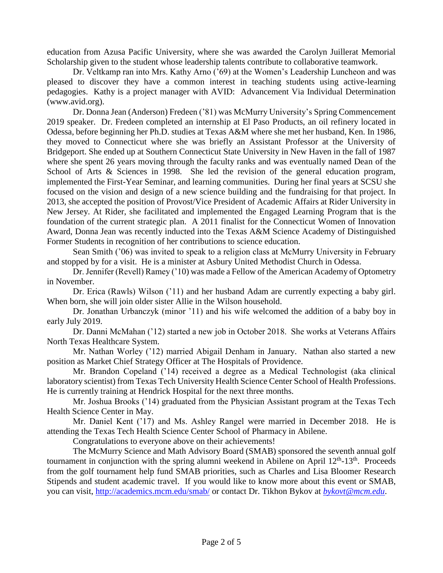education from Azusa Pacific University, where she was awarded the Carolyn Juillerat Memorial Scholarship given to the student whose leadership talents contribute to collaborative teamwork.

Dr. Veltkamp ran into Mrs. Kathy Arno ('69) at the Women's Leadership Luncheon and was pleased to discover they have a common interest in teaching students using active-learning pedagogies. Kathy is a project manager with AVID: Advancement Via Individual Determination (www.avid.org).

Dr. Donna Jean (Anderson) Fredeen ('81) was McMurry University's Spring Commencement 2019 speaker. Dr. Fredeen completed an internship at El Paso Products, an oil refinery located in Odessa, before beginning her Ph.D. studies at Texas A&M where she met her husband, Ken. In 1986, they moved to Connecticut where she was briefly an Assistant Professor at the University of Bridgeport. She ended up at Southern Connecticut State University in New Haven in the fall of 1987 where she spent 26 years moving through the faculty ranks and was eventually named Dean of the School of Arts & Sciences in 1998. She led the revision of the general education program, implemented the First-Year Seminar, and learning communities. During her final years at SCSU she focused on the vision and design of a new science building and the fundraising for that project. In 2013, she accepted the position of Provost/Vice President of Academic Affairs at Rider University in New Jersey. At Rider, she facilitated and implemented the Engaged Learning Program that is the foundation of the current strategic plan. A 2011 finalist for the Connecticut Women of Innovation Award, Donna Jean was recently inducted into the Texas A&M Science Academy of Distinguished Former Students in recognition of her contributions to science education.

Sean Smith ('06) was invited to speak to a religion class at McMurry University in February and stopped by for a visit. He is a minister at Asbury United Methodist Church in Odessa.

Dr. Jennifer (Revell) Ramey ('10) was made a Fellow of the American Academy of Optometry in November.

Dr. Erica (Rawls) Wilson ('11) and her husband Adam are currently expecting a baby girl. When born, she will join older sister Allie in the Wilson household.

Dr. Jonathan Urbanczyk (minor '11) and his wife welcomed the addition of a baby boy in early July 2019.

Dr. Danni McMahan ('12) started a new job in October 2018. She works at Veterans Affairs North Texas Healthcare System.

Mr. Nathan Worley ('12) married Abigail Denham in January. Nathan also started a new position as Market Chief Strategy Officer at The Hospitals of Providence.

Mr. Brandon Copeland ('14) received a degree as a Medical Technologist (aka clinical laboratory scientist) from Texas Tech University Health Science Center School of Health Professions. He is currently training at Hendrick Hospital for the next three months.

Mr. Joshua Brooks ('14) graduated from the Physician Assistant program at the Texas Tech Health Science Center in May.

Mr. Daniel Kent ('17) and Ms. Ashley Rangel were married in December 2018. He is attending the Texas Tech Health Science Center School of Pharmacy in Abilene.

Congratulations to everyone above on their achievements!

The McMurry Science and Math Advisory Board (SMAB) sponsored the seventh annual golf tournament in conjunction with the spring alumni weekend in Abilene on April  $12<sup>th</sup>$ -13<sup>th</sup>. Proceeds from the golf tournament help fund SMAB priorities, such as Charles and Lisa Bloomer Research Stipends and student academic travel. If you would like to know more about this event or SMAB, you can visit, <http://academics.mcm.edu/smab/> or contact Dr. Tikhon Bykov at *[bykovt@mcm.edu](mailto:bykovt@mcm.edu)*.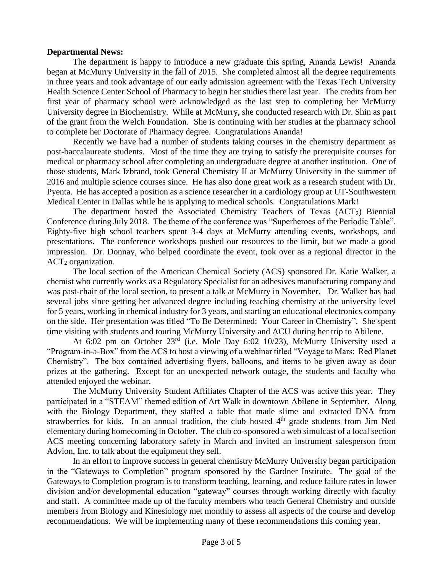## **Departmental News:**

The department is happy to introduce a new graduate this spring, Ananda Lewis! Ananda began at McMurry University in the fall of 2015. She completed almost all the degree requirements in three years and took advantage of our early admission agreement with the Texas Tech University Health Science Center School of Pharmacy to begin her studies there last year. The credits from her first year of pharmacy school were acknowledged as the last step to completing her McMurry University degree in Biochemistry. While at McMurry, she conducted research with Dr. Shin as part of the grant from the Welch Foundation. She is continuing with her studies at the pharmacy school to complete her Doctorate of Pharmacy degree. Congratulations Ananda!

Recently we have had a number of students taking courses in the chemistry department as post-baccalaureate students. Most of the time they are trying to satisfy the prerequisite courses for medical or pharmacy school after completing an undergraduate degree at another institution. One of those students, Mark Izbrand, took General Chemistry II at McMurry University in the summer of 2016 and multiple science courses since. He has also done great work as a research student with Dr. Pyenta. He has accepted a position as a science researcher in a cardiology group at UT-Southwestern Medical Center in Dallas while he is applying to medical schools. Congratulations Mark!

The department hosted the Associated Chemistry Teachers of Texas  $(ACT<sub>2</sub>)$  Biennial Conference during July 2018. The theme of the conference was "Superheroes of the Periodic Table". Eighty-five high school teachers spent 3-4 days at McMurry attending events, workshops, and presentations. The conference workshops pushed our resources to the limit, but we made a good impression. Dr. Donnay, who helped coordinate the event, took over as a regional director in the  $ACT<sub>2</sub>$  organization.

The local section of the American Chemical Society (ACS) sponsored Dr. Katie Walker, a chemist who currently works as a Regulatory Specialist for an adhesives manufacturing company and was past-chair of the local section, to present a talk at McMurry in November. Dr. Walker has had several jobs since getting her advanced degree including teaching chemistry at the university level for 5 years, working in chemical industry for 3 years, and starting an educational electronics company on the side. Her presentation was titled "To Be Determined: Your Career in Chemistry". She spent time visiting with students and touring McMurry University and ACU during her trip to Abilene.

At 6:02 pm on October 23rd (i.e. Mole Day 6:02 10/23), McMurry University used a "Program-in-a-Box" from the ACS to host a viewing of a webinar titled "Voyage to Mars: Red Planet Chemistry". The box contained advertising flyers, balloons, and items to be given away as door prizes at the gathering. Except for an unexpected network outage, the students and faculty who attended enjoyed the webinar.

The McMurry University Student Affiliates Chapter of the ACS was active this year. They participated in a "STEAM" themed edition of Art Walk in downtown Abilene in September. Along with the Biology Department, they staffed a table that made slime and extracted DNA from strawberries for kids. In an annual tradition, the club hosted 4<sup>th</sup> grade students from Jim Ned elementary during homecoming in October. The club co-sponsored a web simulcast of a local section ACS meeting concerning laboratory safety in March and invited an instrument salesperson from Advion, Inc. to talk about the equipment they sell.

In an effort to improve success in general chemistry McMurry University began participation in the "Gateways to Completion" program sponsored by the Gardner Institute. The goal of the Gateways to Completion program is to transform teaching, learning, and reduce failure rates in lower division and/or developmental education "gateway" courses through working directly with faculty and staff. A committee made up of the faculty members who teach General Chemistry and outside members from Biology and Kinesiology met monthly to assess all aspects of the course and develop recommendations. We will be implementing many of these recommendations this coming year.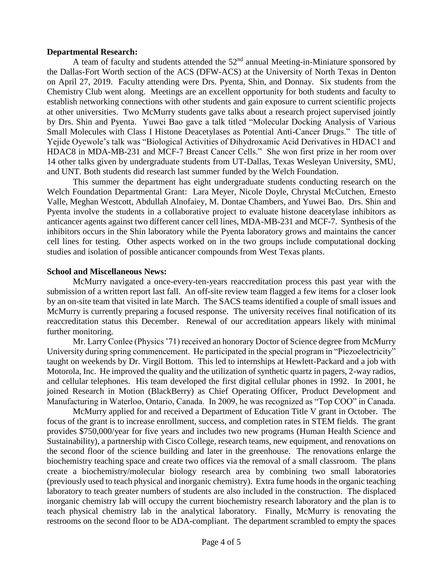# **Departmental Research:**

A team of faculty and students attended the  $52<sup>nd</sup>$  annual Meeting-in-Miniature sponsored by the Dallas-Fort Worth section of the ACS (DFW-ACS) at the University of North Texas in Denton on April 27, 2019. Faculty attending were Drs. Pyenta, Shin, and Donnay. Six students from the Chemistry Club went along. Meetings are an excellent opportunity for both students and faculty to establish networking connections with other students and gain exposure to current scientific projects at other universities. Two McMurry students gave talks about a research project supervised jointly by Drs. Shin and Pyenta. Yuwei Bao gave a talk titled "Molecular Docking Analysis of Various Small Molecules with Class I Histone Deacetylases as Potential Anti-Cancer Drugs." The title of Yejide Oyewole's talk was "Biological Activities of Dihydroxamic Acid Derivatives in HDAC1 and HDAC8 in MDA-MB-231 and MCF-7 Breast Cancer Cells." She won first prize in her room over 14 other talks given by undergraduate students from UT-Dallas, Texas Wesleyan University, SMU, and UNT. Both students did research last summer funded by the Welch Foundation.

This summer the department has eight undergraduate students conducting research on the Welch Foundation Departmental Grant: Lara Meyer, Nicole Doyle, Chrystal McCutchen, Ernesto Valle, Meghan Westcott, Abdullah Alnofaiey, M. Dontae Chambers, and Yuwei Bao. Drs. Shin and Pyenta involve the students in a collaborative project to evaluate histone deacetylase inhibitors as anticancer agents against two different cancer cell lines, MDA-MB-231 and MCF-7. Synthesis of the inhibitors occurs in the Shin laboratory while the Pyenta laboratory grows and maintains the cancer cell lines for testing. Other aspects worked on in the two groups include computational docking studies and isolation of possible anticancer compounds from West Texas plants.

## **School and Miscellaneous News:**

McMurry navigated a once-every-ten-years reaccreditation process this past year with the submission of a written report last fall. An off-site review team flagged a few items for a closer look by an on-site team that visited in late March. The SACS teams identified a couple of small issues and McMurry is currently preparing a focused response. The university receives final notification of its reaccreditation status this December. Renewal of our accreditation appears likely with minimal further monitoring.

Mr. Larry Conlee (Physics '71) received an honorary Doctor of Science degree from McMurry University during spring commencement. He participated in the special program in "Piezoelectricity" taught on weekends by Dr. Virgil Bottom. This led to internships at Hewlett-Packard and a job with Motorola, Inc. He improved the quality and the utilization of synthetic quartz in pagers, 2-way radios, and cellular telephones. His team developed the first digital cellular phones in 1992. In 2001, he joined Research in Motion (BlackBerry) as Chief Operating Officer, Product Development and Manufacturing in Waterloo, Ontario, Canada. In 2009, he was recognized as "Top COO" in Canada.

McMurry applied for and received a Department of Education Title V grant in October. The focus of the grant is to increase enrollment, success, and completion rates in STEM fields. The grant provides \$750,000/year for five years and includes two new programs (Human Health Science and Sustainability), a partnership with Cisco College, research teams, new equipment, and renovations on the second floor of the science building and later in the greenhouse. The renovations enlarge the biochemistry teaching space and create two offices via the removal of a small classroom. The plans create a biochemistry/molecular biology research area by combining two small laboratories (previously used to teach physical and inorganic chemistry). Extra fume hoods in the organic teaching laboratory to teach greater numbers of students are also included in the construction. The displaced inorganic chemistry lab will occupy the current biochemistry research laboratory and the plan is to teach physical chemistry lab in the analytical laboratory. Finally, McMurry is renovating the restrooms on the second floor to be ADA-compliant. The department scrambled to empty the spaces